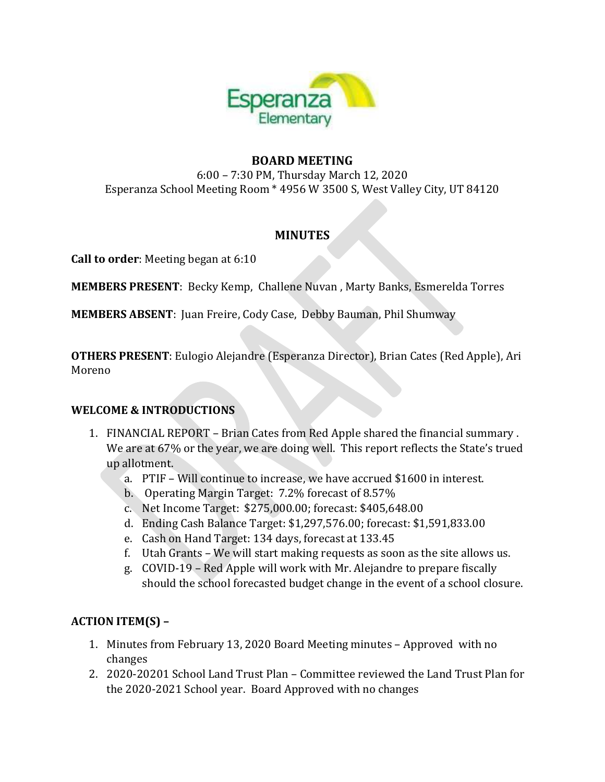

## **BOARD MEETING**

6:00 – 7:30 PM, Thursday March 12, 2020 Esperanza School Meeting Room \* 4956 W 3500 S, West Valley City, UT 84120

## **MINUTES**

**Call to order**: Meeting began at 6:10

**MEMBERS PRESENT**: Becky Kemp, Challene Nuvan , Marty Banks, Esmerelda Torres

**MEMBERS ABSENT**: Juan Freire, Cody Case, Debby Bauman, Phil Shumway

**OTHERS PRESENT**: Eulogio Alejandre (Esperanza Director), Brian Cates (Red Apple), Ari Moreno

### **WELCOME & INTRODUCTIONS**

- 1. FINANCIAL REPORT Brian Cates from Red Apple shared the financial summary . We are at 67% or the year, we are doing well. This report reflects the State's trued up allotment.
	- a. PTIF Will continue to increase, we have accrued \$1600 in interest.
	- b. Operating Margin Target: 7.2% forecast of 8.57%
	- c. Net Income Target: \$275,000.00; forecast: \$405,648.00
	- d. Ending Cash Balance Target: \$1,297,576.00; forecast: \$1,591,833.00
	- e. Cash on Hand Target: 134 days, forecast at 133.45
	- f. Utah Grants We will start making requests as soon as the site allows us.
	- g. COVID-19 Red Apple will work with Mr. Alejandre to prepare fiscally should the school forecasted budget change in the event of a school closure.

# **ACTION ITEM(S) –**

- 1. Minutes from February 13, 2020 Board Meeting minutes Approved with no changes
- 2. 2020-20201 School Land Trust Plan Committee reviewed the Land Trust Plan for the 2020-2021 School year. Board Approved with no changes